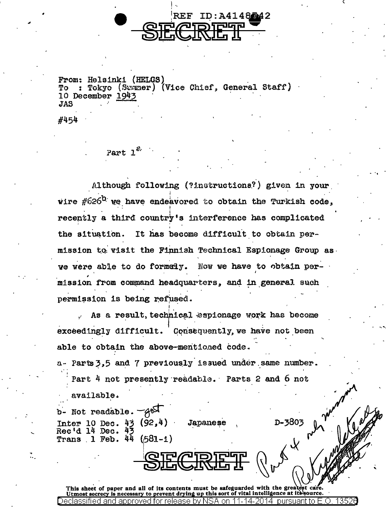From: Helsinki (HELGS) To : Tokyo (Suwmer) (Vice Chief, General Staff) 10 December 1943 **JAS** 

REF ID:A4148742

#454

Part  $1^e$ 

Although following (?instructions?) given in your wire  $\#626^{\mathbf{b}}$  we have endeavored to obtain the Turkish code, recently a third country's interference has complicated the situation. It has become difficult to obtain permission to visit the Finnish Technical Espionage Group as we were able to do formely. Now we have to obtain permission from command headquarters, and in general such permission is being refused.

As a result, technical espionage work has become exceedingly difficult. Consequently, we have not been able to obtain the above-mentioned code.

a- Parts 3.5 and 7 previously issued under same number. Part 4 not presently readable. Parts 2 and 6 not

available.

 $b$ - Not readable.  $-4b$ Inter 10 Dec.  $43$  (92,4)<br>Rec'd 14 Dec.  $43$ **Japanese** Trans  $1$  Feb.  $44$  $(581 - 1)$ 

This sheet of paper and all of its contents must be safeguarded with the greatest care.<br>Utmost secrecy is necessary to prevent drying up this sort of vital intelligence at its source. Declassified and

A te many ver

D-3803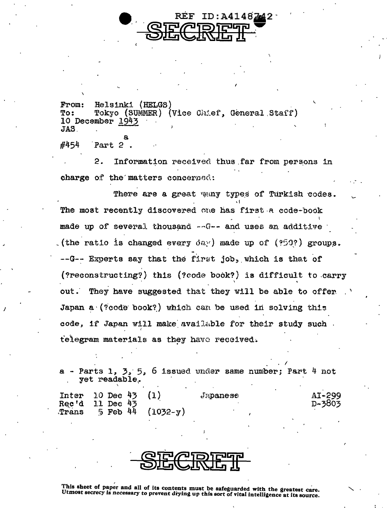

Helsinki (HELGS) From: Tokyo (SUMMER) (Vice Chief, General Staff) To: 10 December 1943 JAS.

#454 Part 2

 $\mathbf{P}$ . Information received thus far from persons in charge of the matters concerned:

There are a great way types of Turkish codes. The most recently discovered one has first a code-book made up of several thousand -- G-- and uses an additive (the ratio is changed every  $\delta x$ ) made up of (?50?) groups. --G-- Experts say that the first job, which is that of (?reconstructing?) this (?code book?) is difficult to carry They have suggested that they will be able to offer out. Japan a (?code book?) which can be used in solving this code, if Japan will make available for their study such. telegram materials as they have received.

Parts 1,  $3.5.6$  issued under same number; Part 4 not yet readable.

| $Inter$ 10 Dec 43<br>Rec'd 11 Dec 43 | <b>Japanese</b> | AI-299<br>D-3803 |
|--------------------------------------|-----------------|------------------|
| Trans $5$ Feb 44 (1032-y)            |                 |                  |

This sheet of paper and all of its contents must be safeguarded with the greatest care. Utmost secrecy is necessary to prevent drying up this sort of vital intelligence at its source.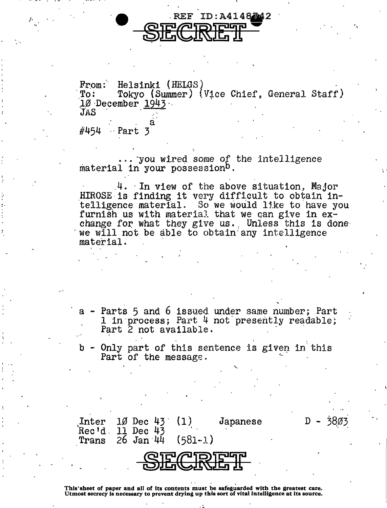

From: Helsinki (HELGS) Tokyo (Summer) (Vice Chief, General Staff)  $:$   $\Omega$ 10 December 1943. JAS

 $\#454$  Part 3

... you wired some of the intelligence material in your possession<sup>b</sup>.

4. In view of the above situation, Major HIROSE is finding it very difficult to obtain intelligence material. So we would like to have you furnish us with material that we can give in exchange for what they give us. Unless this is done we will not be able to obtain any intelligence material.

Parts 5 and 6 issued under same number; Part 1 in process; Part 4 not presently readable; Part 2 not available.

- Only part of this sentence is given in this<br>Part of the message.

 $D - 3803$ 

Inter  $10$  Dec 43  $(1)$ Japanese  $Rec'd$  11 Dec 43  $(581 - 1)$  $26$  Jan  $44$ Trans



This'sheet of paper and all of its contents must be safeguarded with the greatest care. Utmost secrecy is necessary to prevent drying up this sort of vital intelligence at its source.